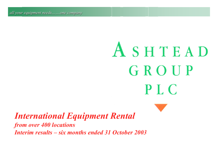

*International Equipment Rental from over 400 locations Interim results –six months ended 31 October 2003*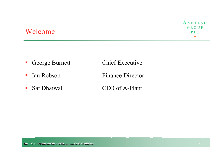#### Welcome

- $\mathcal{L}_{\mathcal{A}}$ George Burnett Chief Executive
- $\mathcal{L}_{\mathcal{A}}$ Ian Robson Finance Director
- $\mathcal{L}_{\mathcal{A}}$  Sat Dhaiwal CEO of A-Plant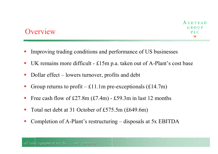#### **Overview**

- **Improving trading conditions and performance of US businesses**
- UK remains more difficult £15m p.a. taken out of A-Plant's cost base
- Dollar effect lowers turnover, profits and debt
- Group returns to profit  $-\pounds11.1m$  pre-exceptionals (£14.7m)
- Free cash flow of £27.8m  $(\text{\textsterling}7.4m)$  £59.3m in last 12 months
- Total net debt at 31 October of £575.5m (£649.6m)
- Completion of A-Plant's restructuring disposals at 5x EBITDA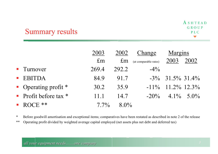### Summary results

|                                | 2003        | 2002        | Change                | <b>Margins</b>      |              |
|--------------------------------|-------------|-------------|-----------------------|---------------------|--------------|
|                                | $\pounds$ m | $\pounds$ m | (at comparable rates) | 2003                | 2002         |
| • Turnover                     | 269.4       | 292.2       | $-4\%$                |                     |              |
| <b>EBITDA</b>                  | 84.9        | 91.7        |                       | $-3\%$ 31.5% 31.4%  |              |
| • Operating profit $*$         | 30.2        | 35.9        |                       | $-11\%$ 11.2% 12.3% |              |
| <b>•</b> Profit before tax $*$ | 11 1        | 14.7        | $-20\%$               |                     | $4.1\%$ 5.0% |
| $\blacksquare$ .<br>$OCE$ **   | $7.7\%$     | $8.0\%$     |                       |                     |              |

\*Before goodwill amortisation and exceptional items; comparatives have been restated as described in note 2 of the release

\*\* Operating profit divided by weighted average capital employed (net assets plus net debt and deferred tax)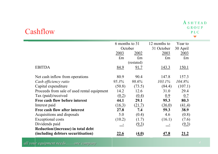#### Cashflow

ASHTEAD **GROUP** PLC  $\blacktriangledown$ 

|                                             | 6 months to 31 |             | 12 months to | Year to      |
|---------------------------------------------|----------------|-------------|--------------|--------------|
|                                             | October        |             | 31 October   | 30 April     |
|                                             | 2003           | <u>2002</u> | 2003         | 2003         |
|                                             | $\pounds$ m    | $\pounds$ m | $\pounds$ m  | $\pounds$ m  |
|                                             |                | (restated)  |              |              |
| <b>EBITDA</b>                               | 84.9           | <u>91.7</u> | <u>143.3</u> | <u>150.1</u> |
| Net cash inflow from operations             | 80.9           | 90.4        | 147.8        | 157.3        |
| Cash efficiency ratio                       | 95.3%          | 98.6%       | $103.1\%$    | 104.8%       |
| Capital expenditure                         | (50.8)         | (73.5)      | (84.4)       | (107.1)      |
| Proceeds from sale of used rental equipment | 14.2           | 12.6        | 31.0         | 29.4         |
| Tax (paid)/received                         | (0.2)          | (0.4)       | 0.9          | 0.7          |
| Free cash flow before interest              | 44.1           | 29.1        | 95.3         | 80.3         |
| Interest paid                               | (16.3)         | (21.7)      | (36.0)       | (41.4)       |
| Free cash flow after interest               | 27.8           | 7.4         | 59.3         | 38.9         |
| Acquisitions and disposals                  | 5.0            | (0.4)       | 4.6          | (0.8)        |
| <b>Exceptional costs</b>                    | (10.2)         | (1.7)       | (16.1)       | (7.6)        |
| Dividends paid                              |                | (9.3)       |              | (9.3)        |
| Reduction/(increase) in total debt          |                |             |              |              |
| (including debtors securitisation)          | <u>22.6</u>    | (4.0)       | <u>47.8</u>  | <u> 21.2</u> |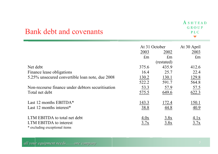| <b>Bank debt and covenants</b>                    | GROUP<br>PLC  |               |                    |
|---------------------------------------------------|---------------|---------------|--------------------|
|                                                   | At 31 October |               | At 30 April        |
|                                                   | 2003          | 2002          | <u>2003</u>        |
|                                                   | $\pounds$ m   | $\pounds$ m   | $\pounds$ m        |
|                                                   |               | (restated)    |                    |
| Net debt                                          | 375.6         | 435.9         | 412.6              |
| Finance lease obligations                         | 16.4          | 25.7          | 22.4               |
| 5.25% unsecured convertible loan note, due 2008   | <u>130.2</u>  | <u>130.1</u>  | 129.8              |
|                                                   | 522.2         | 591.7         | 564.8              |
| Non-recourse finance under debtors securitisation | 53.3          | 57.9          | 57.5               |
| Total net debt                                    | <u>575.5</u>  | 649.6         | 622.3              |
| Last 12 months EBITDA*                            | <u>143.3</u>  | <u> 172.4</u> | <u>150.1</u>       |
| Last 12 months interest <sup>*</sup>              | 38.8          | 44.8          | $\underline{40.9}$ |
| LTM EBITDA to total net debt                      | <u>4.0x</u>   | <u>3.8x</u>   |                    |
| LTM EBITDA to interest                            |               | 3.8x          | 3.7x               |
| * excluding exceptional items                     |               |               |                    |

ASHTEAD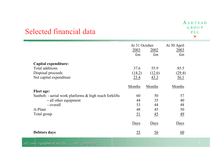| Selected financial data                                                                 |                                                  |                                        |                                                | ASHTEAD<br>GROUP<br>PLC |
|-----------------------------------------------------------------------------------------|--------------------------------------------------|----------------------------------------|------------------------------------------------|-------------------------|
|                                                                                         | At 31 October<br>2003<br>$\mathbf{f}_{\text{m}}$ | <u>2002</u><br>$\mathbf{f}_{\text{m}}$ | At 30 April<br>2003<br>$\mathbf{f}_{\text{m}}$ |                         |
| Capital expenditure:<br>Total additions<br>Disposal proceeds<br>Net capital expenditure | 37.6<br>(14.2)<br>23.4                           | 55.9<br>(12.6)<br>43.3                 | 85.5<br>(29.4)<br>$\underline{56.1}$           |                         |
| <b>Fleet age:</b><br>Sunbelt: - aerial work platforms $\&$ high reach forklifts         | Months<br>60                                     | Months<br>50                           | Months<br>57                                   |                         |

 $\bullet$  all other equipment 44 35 40

roup  $\frac{51}{2}$   $\frac{45}{2}$   $\frac{49}{2}$ 

**Debtors days** 60

<u>ays</u>

s Days

*all your equipment needs…….one company all your equipment needs…….one company*

A-Pla

Total g

Sunbelt: - a erial work platforms & hig h reach forklifts

- overall 53

nt  $48$ 

Da

44 48

s Days

45 50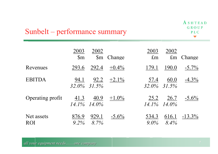#### Sunbelt – performance summary

|                          | 2003<br>$\mathbb{S}_{m}$ | 2002<br>$\mathbb{S}_{m}$         | Change        | 2003<br>$\pounds$ m     | 2002<br>$\pounds$ m              | Change    |
|--------------------------|--------------------------|----------------------------------|---------------|-------------------------|----------------------------------|-----------|
| Revenues                 | <u>293.6</u>             | <u>292.4</u>                     | $+0.4\%$      | <u>179.1</u>            | <u>190.0</u>                     | $-5.7\%$  |
| <b>EBITDA</b>            | <u>94.1</u>              | 32.0% 31.5%                      | $92.2 +2.1\%$ | <u>57.4</u>             | <u>60.0</u><br>32.0% 31.5%       | $-4.3\%$  |
| Operating profit         | <u>41.3</u>              | <u>40.9</u><br>$14.1\%$ $14.0\%$ | $+1.0\%$      | <u>25.2</u>             | <u>26.7</u><br>$14.1\%$ $14.0\%$ | $-5.6\%$  |
| Net assets<br><b>ROI</b> | <u>876.9</u><br>$9.2\%$  | <u>929.1</u><br>$8.7\%$          | $-5.6\%$      | <u>534.3</u><br>$9.0\%$ | <u>616.1</u><br>$8.4\%$          | $-13.3\%$ |

ASHTEAD GROUP PLC v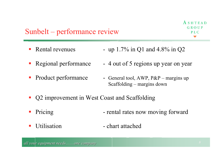#### Sunbelt – performance review

- Rental revenues up 1.7% in Q1 and 4.8% in Q2
- Regional performance - 4 out of 5 regions up year on year
- Product performance - Gen eral tool, AWP, P&P – margins up Scaffolding – margins down
- Q2 improvement in West Coast and Scaffolding
- Pricing - rental rates now moving forward
- $\blacksquare$ **Utilisation** chart attached

ASHTEAD GROUP PLC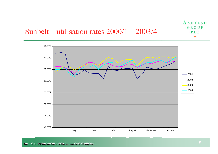#### Sunbelt – utilisation rates 2000/1 – 2003/4

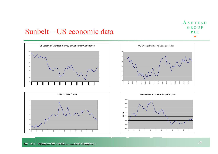### Sunbelt – US economic data







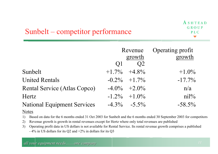## Sunbelt – competitor performance

|                                    | Revenue |                   | Operating profit  |
|------------------------------------|---------|-------------------|-------------------|
|                                    |         | growth            | growth            |
|                                    | O       | O2                |                   |
| Sunbelt                            |         | $+1.7\%$ $+4.8\%$ | $+1.0\%$          |
| <b>United Rentals</b>              |         | $-0.2\% +1.7\%$   | $-17.7\%$         |
| Rental Service (Atlas Copco)       |         | $-4.0\% +2.0\%$   | n/a               |
| Hertz                              |         | $-1.2\% + 1.0\%$  | $\frac{nil\%}{ }$ |
| <b>National Equipment Services</b> |         | $-4.3\% -5.5\%$   | $-58.5\%$         |

#### Notes

- 1) Based on data for the 6 months ended 31 Oct 2003 for Sunbelt and the 6 months ended 30 September 2003 for competitors
- 2) Revenue growth is growth in rental revenues except for Hertz where only total revenues are published
- 3) Operating profit data in US dollars is not available for Rental Service. Its rental revenue growth comprises a published - 4% in US dollars for its Q2 and +2% in dollars for its Q3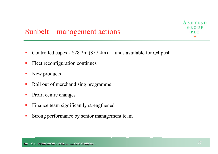### Sunbelt – management actions

- T. ■ Controlled capex - \$28.2m (\$57.4m) – funds available for Q4 push
- × Fleet reconfiguration continues
- $\blacksquare$ New products
- **Service Service** Roll out of merchandising programme
- $\mathcal{L}_{\mathcal{A}}$ Profit centre changes
- $\mathbb{R}^2$ Finance team significantly strengthened
- T. Strong performance by senior management team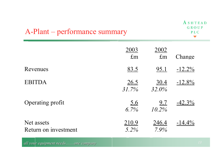#### A-Plant – performance summary

|                                    | 2003<br>$\pounds$ m       | 2002<br>$\pounds$ m  | Change    |
|------------------------------------|---------------------------|----------------------|-----------|
| Revenues                           | 83.5                      | <u>95.1</u>          | $-12.2\%$ |
| <b>EBITDA</b>                      | 26.5<br>31.7%             | <u>30.4</u><br>32.0% | $-12.8\%$ |
| Operating profit                   | $\underline{5.6}$<br>6.7% | 9.7<br>10.2%         | $-42.3\%$ |
| Net assets<br>Return on investment | 210.9<br>5.2%             | <u>246.4</u><br>7.9% | $-14.4\%$ |

*all your equipment needs…….one company all your equipment needs…….one company <sup>13</sup>*

ASHTEAD GROUP PLC  $\blacksquare$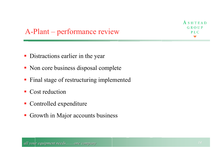### A-Plant – performance review

- **Distractions earlier in the year**
- Non core business disposal complete
- **Final stage of restructuring implemented**
- Cost reduction
- **Contract Contract Contract Contract Contract Contract Contract Contract Contract Contract Contract Contract C** Controlled expenditure
- Ŧ Growth in Major accounts business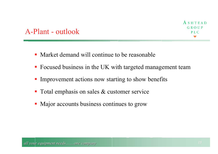#### A-Plant - outlook

- Market demand will continue to be reasonable
- **Focused business in the UK with targeted management team**
- **Improvement actions now starting to show benefits**
- **Total emphasis on sales & customer service**
- Major accounts business continues to grow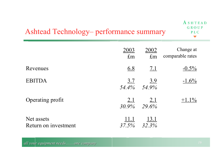## Ashtead Technology– performance summary

|                                    | 2003<br>$\pounds$ m   | 2002<br>$\pounds$ m              | Change at<br>comparable rates |
|------------------------------------|-----------------------|----------------------------------|-------------------------------|
| Revenues                           | $\underline{6.8}$     | $\underline{7.1}$                | $-0.5\%$                      |
| <b>EBITDA</b>                      | $\underline{3.7}$     | $\underline{3.9}$<br>54.4% 54.9% | $-1.6\%$                      |
| Operating profit                   | <u>2.1</u>            | <u>2.1</u><br>$30.9\%$ 29.6%     | $+1.1\%$                      |
| Net assets<br>Return on investment | <u> 11.1</u><br>37.5% | <u>13.1</u><br>32.3%             |                               |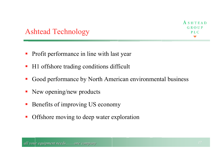### Ashtead Technology

- $\mathcal{L}_{\mathcal{A}}$ Profit performance in line with last year
- H1 offshore trading conditions difficult
- Good performance by North American environmental business
- Ŧ New opening/new products
- Ŧ Benefits of improving US economy
- Offshore moving to deep water exploration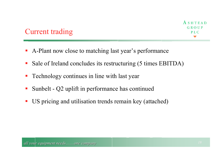#### Current trading

- $\mathcal{L}_{\mathcal{A}}$ A-Plant now close to matching last year's performance
- $\mathcal{L}_{\mathcal{A}}$ Sale of Ireland concludes its restructuring (5 times EBITDA)
- $\mathcal{L}_{\mathcal{A}}$ Technology continues in line with last year
- $\mathcal{L}_{\mathcal{A}}$ ■ Sunbelt - Q2 uplift in performance has continued
- Ŧ US pricing and utilisation trends remain key (attached)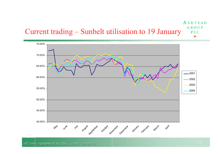#### ASHTEAD GROUP Current trading – Sunbelt utilisation to 19 January PLC